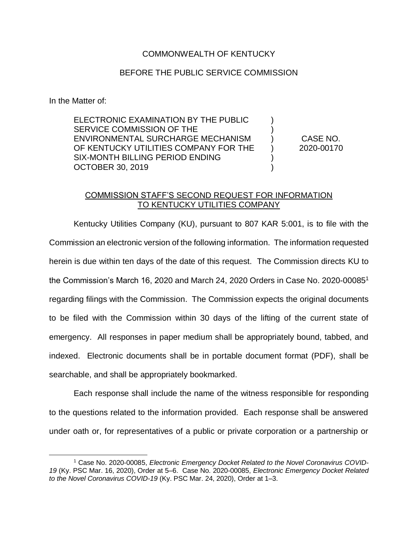## COMMONWEALTH OF KENTUCKY

## BEFORE THE PUBLIC SERVICE COMMISSION

In the Matter of:

 $\overline{a}$ 

ELECTRONIC EXAMINATION BY THE PUBLIC SERVICE COMMISSION OF THE ENVIRONMENTAL SURCHARGE MECHANISM OF KENTUCKY UTILITIES COMPANY FOR THE SIX-MONTH BILLING PERIOD ENDING OCTOBER 30, 2019  $\lambda$ ) ) ) ) )

CASE NO. 2020-00170

## COMMISSION STAFF'S SECOND REQUEST FOR INFORMATION TO KENTUCKY UTILITIES COMPANY

Kentucky Utilities Company (KU), pursuant to 807 KAR 5:001, is to file with the Commission an electronic version of the following information. The information requested herein is due within ten days of the date of this request. The Commission directs KU to the Commission's March 16, 2020 and March 24, 2020 Orders in Case No. 2020-00085<sup>1</sup> regarding filings with the Commission. The Commission expects the original documents to be filed with the Commission within 30 days of the lifting of the current state of emergency. All responses in paper medium shall be appropriately bound, tabbed, and indexed. Electronic documents shall be in portable document format (PDF), shall be searchable, and shall be appropriately bookmarked.

Each response shall include the name of the witness responsible for responding to the questions related to the information provided. Each response shall be answered under oath or, for representatives of a public or private corporation or a partnership or

<sup>&</sup>lt;sup>1</sup> Case No. 2020-00085, Electronic Emergency Docket Related to the Novel Coronavirus COVID-*19* (Ky. PSC Mar. 16, 2020), Order at 5–6. Case No. 2020-00085, *Electronic Emergency Docket Related to the Novel Coronavirus COVID-19* (Ky. PSC Mar. 24, 2020), Order at 1–3.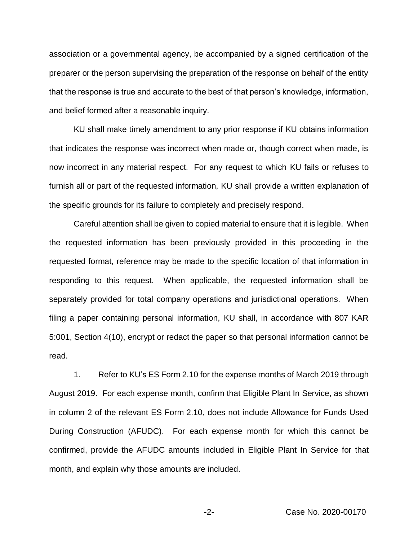association or a governmental agency, be accompanied by a signed certification of the preparer or the person supervising the preparation of the response on behalf of the entity that the response is true and accurate to the best of that person's knowledge, information, and belief formed after a reasonable inquiry.

KU shall make timely amendment to any prior response if KU obtains information that indicates the response was incorrect when made or, though correct when made, is now incorrect in any material respect. For any request to which KU fails or refuses to furnish all or part of the requested information, KU shall provide a written explanation of the specific grounds for its failure to completely and precisely respond.

Careful attention shall be given to copied material to ensure that it is legible. When the requested information has been previously provided in this proceeding in the requested format, reference may be made to the specific location of that information in responding to this request. When applicable, the requested information shall be separately provided for total company operations and jurisdictional operations. When filing a paper containing personal information, KU shall, in accordance with 807 KAR 5:001, Section 4(10), encrypt or redact the paper so that personal information cannot be read.

1. Refer to KU's ES Form 2.10 for the expense months of March 2019 through August 2019. For each expense month, confirm that Eligible Plant In Service, as shown in column 2 of the relevant ES Form 2.10, does not include Allowance for Funds Used During Construction (AFUDC). For each expense month for which this cannot be confirmed, provide the AFUDC amounts included in Eligible Plant In Service for that month, and explain why those amounts are included.

-2- Case No. 2020-00170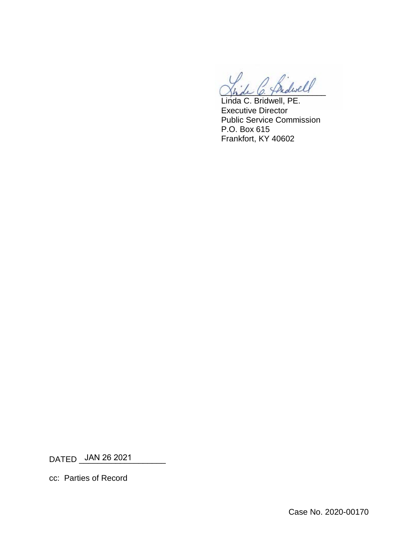$\omega$ 

Linda C. Bridwell, PE. Executive Director Public Service Commission P.O. Box 615 Frankfort, KY 40602

DATED \_\_JAN 26 2021\_\_\_\_\_\_\_\_\_

cc: Parties of Record